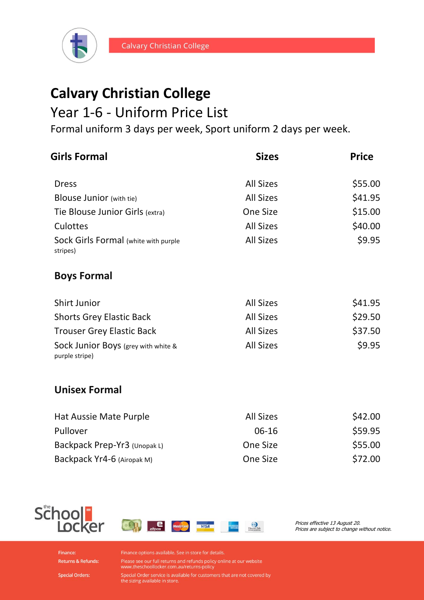

## **Calvary Christian College**

## Year 1-6 - Uniform Price List

Formal uniform 3 days per week, Sport uniform 2 days per week.

| <b>Girls Formal</b>                                   | <b>Sizes</b>     | <b>Price</b> |
|-------------------------------------------------------|------------------|--------------|
| <b>Dress</b>                                          | <b>All Sizes</b> | \$55.00      |
| <b>Blouse Junior</b> (with tie)                       | <b>All Sizes</b> | \$41.95      |
| Tie Blouse Junior Girls (extra)                       | One Size         | \$15.00      |
| Culottes                                              | <b>All Sizes</b> | \$40.00      |
| Sock Girls Formal (white with purple<br>stripes)      | <b>All Sizes</b> | \$9.95       |
| <b>Boys Formal</b>                                    |                  |              |
| <b>Shirt Junior</b>                                   | <b>All Sizes</b> | \$41.95      |
| <b>Shorts Grey Elastic Back</b>                       | <b>All Sizes</b> | \$29.50      |
| <b>Trouser Grey Elastic Back</b>                      | <b>All Sizes</b> | \$37.50      |
| Sock Junior Boys (grey with white &<br>purple stripe) | <b>All Sizes</b> | \$9.95       |
| <b>Unisex Formal</b>                                  |                  |              |
| Hat Aussie Mate Purple                                | <b>All Sizes</b> | \$42.00      |
| Pullover                                              | 06-16            | \$59.95      |
| Backpack Prep-Yr3 (Unopak L)                          | One Size         | \$55.00      |
| Backpack Yr4-6 (Airopak M)                            | One Size         | \$72.00      |





Prices effective 13 August 20. Prices are subject to change without notice.

Finance: **Returns & Refunds:**  Finance options available. See in store for details.

Please see our full returns and refunds policy online at our website<br>www.theschoollocker.com.au/returns-policy

Special Order service is available for customers that are not covered by<br>the sizing available in store.

**Special Orders:**